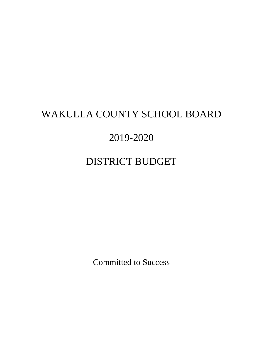# WAKULLA COUNTY SCHOOL BOARD

# 2019-2020

# DISTRICT BUDGET

Committed to Success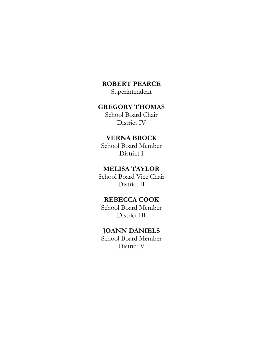### **ROBERT PEARCE**

Superintendent

### **GREGORY THOMAS**

School Board Chair District IV

## **VERNA BROCK**

School Board Member District I

### **MELISA TAYLOR**

School Board Vice Chair District II

## **REBECCA COOK**

School Board Member District III

## **JOANN DANIELS**

School Board Member District V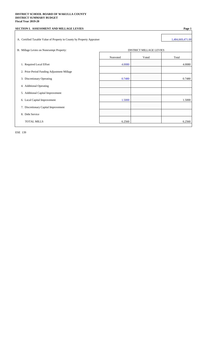#### **DISTRICT SCHOOL BOARD OF WAKULLA COUNTY DISTRICT SUMMARY BUDGET Fiscal Year 2019-20**

| SECTION I. ASSESSMENT AND MILLAGE LEVIES                               |          |                                | Page 1           |
|------------------------------------------------------------------------|----------|--------------------------------|------------------|
| A. Certified Taxable Value of Property in County by Property Appraiser |          |                                | 1,484,669,471.00 |
| B. Millage Levies on Nonexempt Property:                               |          | <b>DISTRICT MILLAGE LEVIES</b> |                  |
|                                                                        | Nonvoted | Voted                          | Total            |
| 1. Required Local Effort                                               | 4.0080   |                                | 4.0080           |
| 2. Prior-Period Funding Adjustment Millage                             |          |                                |                  |
| 3. Discretionary Operating                                             | 0.7480   |                                | 0.7480           |
| 4. Additional Operating                                                |          |                                |                  |
| 5. Additional Capital Improvement                                      |          |                                |                  |
| 6. Local Capital Improvement                                           | 1.5000   |                                | 1.5000           |
| 7. Discretionary Capital Improvement                                   |          |                                |                  |
| 8. Debt Service                                                        |          |                                |                  |
| <b>TOTAL MILLS</b>                                                     | 6.2560   |                                | 6.2560           |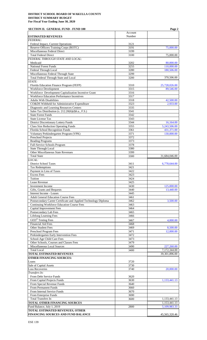| <b>SECTION II. GENERAL FUND - FUND 100</b>                            |              | Page 2                       |
|-----------------------------------------------------------------------|--------------|------------------------------|
|                                                                       | Account      |                              |
| <b>ESTIMATED REVENUES</b><br><b>FEDERAL:</b>                          | Number       |                              |
| Federal Impact, Current Operations                                    | 3121         |                              |
| Reserve Officers Training Corps (ROTC)                                | 3191         | 75,000.00                    |
| Miscellaneous Federal Direct                                          | 3199         |                              |
| <b>Total Federal Direct</b>                                           | 3100         | 75,000.00                    |
| FEDERAL THROUGH STATE AND LOCAL:                                      |              |                              |
| Medicaid<br><b>National Forest Funds</b>                              | 3202<br>3255 | 80,000.00<br>110,000.00      |
| Federal Through Local                                                 | 3280         | 180,506.00                   |
| Miscellaneous Federal Through State                                   | 3299         |                              |
| Total Federal Through State and Local                                 | 3200         | 370,506.00                   |
| STATE:                                                                |              |                              |
| Florida Education Finance Program (FEFP)<br>Workforce Development     | 3310<br>3315 | 25,728,026.00<br>89,546.00   |
| Workforce Development Capitalization Incentive Grant                  | 3316         |                              |
| Workforce Education Performance Incentives                            | 3317         |                              |
| <b>Adults With Disabilities</b>                                       | 3318         | 42,500.00                    |
| CO&DS Withheld for Administrative Expenditure                         | 3323         | 2,933.00                     |
| Diagnostic and Learning Resources Centers                             | 3335         |                              |
| Sales Tax Distribution (s. 212.20(6)(d)6.a., F.S.)                    | 3341         |                              |
| <b>State Forest Funds</b>                                             | 3342         |                              |
| <b>State License Tax</b>                                              | 3343         |                              |
| <b>District Discretionary Lottery Funds</b>                           | 3344         | 16,164.00                    |
| <b>Class Size Reduction Operating Funds</b>                           | 3355         | 5,243,506.00                 |
| Florida School Recognition Funds                                      | 3361         | 431,371.00                   |
| Voluntary Prekindergarten Program (VPK)<br>Preschool Projects         | 3371<br>3372 | 130,000.00                   |
| <b>Reading Programs</b>                                               | 3373         |                              |
| Full-Service Schools Program                                          | 3378         |                              |
| <b>State Through Local</b>                                            | 3380         |                              |
| Other Miscellaneous State Revenues                                    | 3399         |                              |
| <b>Total State</b>                                                    | 3300         | 31,684,046.00                |
| <i>LOCAL:</i>                                                         |              |                              |
| <b>District School Taxes</b>                                          | 3411         | 6,778,644.00                 |
| <b>Tax Redemptions</b>                                                | 3421         |                              |
| Payment in Lieu of Taxes                                              | 3422         |                              |
| <b>Excess Fees</b>                                                    | 3423         |                              |
| Tuition<br>Lease Revenue                                              | 3424<br>3425 |                              |
| <b>Investment Income</b>                                              | 3430         | 125,000.00                   |
| Gifts, Grants and Bequests                                            | 3440         | 13,440.00                    |
| Interest Income - Leases                                              | 3445         |                              |
| <b>Adult General Education Course Fees</b>                            | 3461         |                              |
| Postsecondary Career Certificate and Applied Technology Diploma       | 3462         | 3,500.00                     |
| Continuing Workforce Education Course Fees                            | 3463         |                              |
| Capital Improvement Fees                                              | 3464         |                              |
| Postsecondary Lab Fees                                                | 3465         |                              |
| <b>Lifelong Learning Fees</b>                                         | 3466         |                              |
| <b>GED®</b> Testing Fees                                              | 3467         | 4,000.00                     |
| <b>Financial Aid Fees</b>                                             | 3468         |                              |
| <b>Other Student Fees</b>                                             | 3469         | 8,500.00                     |
| Preschool Program Fees                                                | 3471         | 12,000.00                    |
| Prekindergarten Early Intervention Fees                               | 3472         |                              |
| School-Age Child Care Fees<br>Other Schools, Courses and Classes Fees | 3473<br>3479 |                              |
| Miscellaneous Local Sources                                           | 3490         | 227,260.00                   |
| <b>Total Local</b>                                                    | 3400         | 7,172,344.00                 |
| <b>TOTAL ESTIMATED REVENUES</b>                                       |              | 39,301,896.00                |
| <b>OTHER FINANCING SOURCES:</b>                                       |              |                              |
| Loans                                                                 | 3720         |                              |
| Sale of Capital Assets                                                | 3730         |                              |
| <b>Loss Recoveries</b>                                                | 3740         | 20,000.00                    |
| Transfers In:                                                         |              |                              |
| From Debt Service Funds                                               | 3620         |                              |
| From Capital Projects Funds                                           | 3630         | 1,133,441.13                 |
| From Special Revenue Funds                                            | 3640         |                              |
| From Permanent Funds                                                  | 3660         |                              |
| From Internal Service Funds                                           | 3670         |                              |
| From Enterprise Funds<br><b>Total Transfers In</b>                    | 3690         |                              |
| <b>TOTAL OTHER FINANCING SOURCES</b>                                  | 3600         | 1,133,441.13<br>1,153,441.13 |
| Fund Balance, July 1, 2019                                            | 2800         | 5,109,983.33                 |
| TOTAL ESTIMATED REVENUES, OTHER                                       |              |                              |
| FINANCING SOURCES AND FUND BALANCE                                    |              | 45,565,320.46                |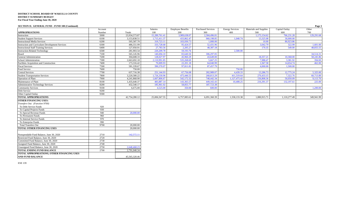| Materials and Supplies<br>Capital Outlay<br><b>Salaries</b><br><b>Employee Benefits</b><br><b>Purchased Services</b><br><b>Energy Services</b><br>Other<br>Account<br><b>APPROPRIATIONS</b><br>100<br>200<br>300<br>600<br>700<br>Number<br>Totals<br>400<br>500<br>5000<br>23,934,573.87<br>15,289,761.41<br>3,989,638.07<br>2,584,496.81<br>1,175,154.62<br>766,231.28<br>129,291.68<br>Instruction<br>13,325.08<br>6100<br>3,153,838.51<br>1,715,411.37<br>433,862.47<br>960,198.85<br>1,040.74<br>30,000.00<br><b>Student Support Services</b><br>6200<br>505,587.70<br><b>Instructional Media Services</b><br>319,723.11<br>103,930.73<br>1,000.00<br>10.00<br>80,923.86<br>95,424.57<br>52,431.96<br>6300<br>486,551.99<br>333,728.68<br>3,042.79<br>322.99<br>1,601.00<br><b>Instruction and Curriculum Development Services</b><br>6400<br>127,950.91<br>27,783.56<br>2,205.27<br>48,387.18<br>549.00<br>48,855.55<br><b>Instructional Staff Training Services</b><br>170.35<br>6500<br>281,903.54<br>220, 209. 78<br>59,193.76<br>2,500.00<br><b>Instruction-Related Technology</b><br>7100<br>565,145.96<br>140,694.10<br>83,640.50<br>306,297.05<br>34,514.31<br>Board<br>128,027.97<br>45,960.29<br>58,245.86<br><b>General Administration</b><br>7200<br>304,608.33<br>43,649.00<br>18,357.21<br>10,368.00<br><b>School Administration</b><br>7300<br>535,268.69<br>5.667.25<br>394.00<br>2.663.692.18<br>2,110,991.85<br>7,988.47<br>3.381.92<br>7400<br>70,009.93<br>22,201.18<br>1.947.58<br>462.00<br>Facilities Acquisition and Construction<br>173.316.42<br>64,040.99<br>14,654.74<br>7500<br><b>Fiscal Services</b><br>581,339.67<br>390,570.07<br>97,811.81<br>87,457.79<br>4,000.00<br>1,500.00<br>7600<br>Food Service<br>750.00<br>750.00<br>7700<br>67,756.08<br>282,989.07<br>5,325.00<br><b>Central Services</b><br>637,716.38<br>251,144.93<br>4.439.33<br>13,286.73<br>12,775.24<br>475,446.53<br><b>Student Transportation Services</b><br>7800<br>3,220,580.22<br>1,726,330.96<br>268,813.29<br>411,519.64<br>270,433.15<br>7,322.76<br>60,713.89<br>7900<br>4,241,868.90<br>1.607.806.67<br>542,172.32<br>748,442.34<br>156,808.36<br>50,050.09<br><b>Operation of Plant</b><br>1,127,475.42<br>9,113.70<br>143,365.57<br>Maintenance of Plant<br>8100<br>1,435,640.37<br>483,887.14<br>449,165.43<br>10,408.25<br>216,391.37<br>132,197.61<br>225.00<br>8200<br>432,540.17<br>58,855.77<br>187,723.38<br><b>Administrative Technology Services</b><br>185,961.02<br>9100<br>1,200.00<br><b>Community Services</b><br>6,675.00<br>4,525.00<br>350.00<br>600.00<br>9200<br>Debt Service<br>9300<br>Other Capital Outlay<br>42,754,280.12<br><b>TOTAL APPROPRIATIONS</b><br>25,006,567.55<br>6,757,083.61<br>6,091,360.39<br>1,558,133.38<br>1,880,915.71<br>1,110,277.49<br>349,941.99<br><b>OTHER FINANCING USES:</b><br>Transfers Out: (Function 9700)<br>920<br>To Debt Service Funds<br>930<br>To Capital Projects Funds<br>940<br>20,000.00<br>To Special Revenue Funds<br>960<br>To Permanent Funds<br>970<br>To Internal Service Funds<br>990<br>To Enterprise Funds<br>9700<br>20,000.00<br><b>Total Transfers Out</b><br><b>TOTAL OTHER FINANCING USES</b><br>20,000.00<br>2710<br>142,572.11<br>Nonspendable Fund Balance, June 30, 2020<br>2720<br>Restricted Fund Balance, June 30, 2020<br>2730<br>Committed Fund Balance, June 30, 2020<br>Assigned Fund Balance, June 30, 2020<br>2740 | <b>SECTION II. GENERAL FUND - FUND 100 (Continued)</b> |      |              |  |  |  | Page 3 |
|---------------------------------------------------------------------------------------------------------------------------------------------------------------------------------------------------------------------------------------------------------------------------------------------------------------------------------------------------------------------------------------------------------------------------------------------------------------------------------------------------------------------------------------------------------------------------------------------------------------------------------------------------------------------------------------------------------------------------------------------------------------------------------------------------------------------------------------------------------------------------------------------------------------------------------------------------------------------------------------------------------------------------------------------------------------------------------------------------------------------------------------------------------------------------------------------------------------------------------------------------------------------------------------------------------------------------------------------------------------------------------------------------------------------------------------------------------------------------------------------------------------------------------------------------------------------------------------------------------------------------------------------------------------------------------------------------------------------------------------------------------------------------------------------------------------------------------------------------------------------------------------------------------------------------------------------------------------------------------------------------------------------------------------------------------------------------------------------------------------------------------------------------------------------------------------------------------------------------------------------------------------------------------------------------------------------------------------------------------------------------------------------------------------------------------------------------------------------------------------------------------------------------------------------------------------------------------------------------------------------------------------------------------------------------------------------------------------------------------------------------------------------------------------------------------------------------------------------------------------------------------------------------------------------------------------------------------------------------------------------------------------------------------------------------------------------------------------------------------------------------------------------------------------------------------------------------------------------------------------------------------------------------------------------------------------------------------------------------------------------------------------------------------------------------------------|--------------------------------------------------------|------|--------------|--|--|--|--------|
|                                                                                                                                                                                                                                                                                                                                                                                                                                                                                                                                                                                                                                                                                                                                                                                                                                                                                                                                                                                                                                                                                                                                                                                                                                                                                                                                                                                                                                                                                                                                                                                                                                                                                                                                                                                                                                                                                                                                                                                                                                                                                                                                                                                                                                                                                                                                                                                                                                                                                                                                                                                                                                                                                                                                                                                                                                                                                                                                                                                                                                                                                                                                                                                                                                                                                                                                                                                                                                       |                                                        |      |              |  |  |  |        |
|                                                                                                                                                                                                                                                                                                                                                                                                                                                                                                                                                                                                                                                                                                                                                                                                                                                                                                                                                                                                                                                                                                                                                                                                                                                                                                                                                                                                                                                                                                                                                                                                                                                                                                                                                                                                                                                                                                                                                                                                                                                                                                                                                                                                                                                                                                                                                                                                                                                                                                                                                                                                                                                                                                                                                                                                                                                                                                                                                                                                                                                                                                                                                                                                                                                                                                                                                                                                                                       |                                                        |      |              |  |  |  |        |
|                                                                                                                                                                                                                                                                                                                                                                                                                                                                                                                                                                                                                                                                                                                                                                                                                                                                                                                                                                                                                                                                                                                                                                                                                                                                                                                                                                                                                                                                                                                                                                                                                                                                                                                                                                                                                                                                                                                                                                                                                                                                                                                                                                                                                                                                                                                                                                                                                                                                                                                                                                                                                                                                                                                                                                                                                                                                                                                                                                                                                                                                                                                                                                                                                                                                                                                                                                                                                                       |                                                        |      |              |  |  |  |        |
|                                                                                                                                                                                                                                                                                                                                                                                                                                                                                                                                                                                                                                                                                                                                                                                                                                                                                                                                                                                                                                                                                                                                                                                                                                                                                                                                                                                                                                                                                                                                                                                                                                                                                                                                                                                                                                                                                                                                                                                                                                                                                                                                                                                                                                                                                                                                                                                                                                                                                                                                                                                                                                                                                                                                                                                                                                                                                                                                                                                                                                                                                                                                                                                                                                                                                                                                                                                                                                       |                                                        |      |              |  |  |  |        |
|                                                                                                                                                                                                                                                                                                                                                                                                                                                                                                                                                                                                                                                                                                                                                                                                                                                                                                                                                                                                                                                                                                                                                                                                                                                                                                                                                                                                                                                                                                                                                                                                                                                                                                                                                                                                                                                                                                                                                                                                                                                                                                                                                                                                                                                                                                                                                                                                                                                                                                                                                                                                                                                                                                                                                                                                                                                                                                                                                                                                                                                                                                                                                                                                                                                                                                                                                                                                                                       |                                                        |      |              |  |  |  |        |
|                                                                                                                                                                                                                                                                                                                                                                                                                                                                                                                                                                                                                                                                                                                                                                                                                                                                                                                                                                                                                                                                                                                                                                                                                                                                                                                                                                                                                                                                                                                                                                                                                                                                                                                                                                                                                                                                                                                                                                                                                                                                                                                                                                                                                                                                                                                                                                                                                                                                                                                                                                                                                                                                                                                                                                                                                                                                                                                                                                                                                                                                                                                                                                                                                                                                                                                                                                                                                                       |                                                        |      |              |  |  |  |        |
|                                                                                                                                                                                                                                                                                                                                                                                                                                                                                                                                                                                                                                                                                                                                                                                                                                                                                                                                                                                                                                                                                                                                                                                                                                                                                                                                                                                                                                                                                                                                                                                                                                                                                                                                                                                                                                                                                                                                                                                                                                                                                                                                                                                                                                                                                                                                                                                                                                                                                                                                                                                                                                                                                                                                                                                                                                                                                                                                                                                                                                                                                                                                                                                                                                                                                                                                                                                                                                       |                                                        |      |              |  |  |  |        |
|                                                                                                                                                                                                                                                                                                                                                                                                                                                                                                                                                                                                                                                                                                                                                                                                                                                                                                                                                                                                                                                                                                                                                                                                                                                                                                                                                                                                                                                                                                                                                                                                                                                                                                                                                                                                                                                                                                                                                                                                                                                                                                                                                                                                                                                                                                                                                                                                                                                                                                                                                                                                                                                                                                                                                                                                                                                                                                                                                                                                                                                                                                                                                                                                                                                                                                                                                                                                                                       |                                                        |      |              |  |  |  |        |
|                                                                                                                                                                                                                                                                                                                                                                                                                                                                                                                                                                                                                                                                                                                                                                                                                                                                                                                                                                                                                                                                                                                                                                                                                                                                                                                                                                                                                                                                                                                                                                                                                                                                                                                                                                                                                                                                                                                                                                                                                                                                                                                                                                                                                                                                                                                                                                                                                                                                                                                                                                                                                                                                                                                                                                                                                                                                                                                                                                                                                                                                                                                                                                                                                                                                                                                                                                                                                                       |                                                        |      |              |  |  |  |        |
|                                                                                                                                                                                                                                                                                                                                                                                                                                                                                                                                                                                                                                                                                                                                                                                                                                                                                                                                                                                                                                                                                                                                                                                                                                                                                                                                                                                                                                                                                                                                                                                                                                                                                                                                                                                                                                                                                                                                                                                                                                                                                                                                                                                                                                                                                                                                                                                                                                                                                                                                                                                                                                                                                                                                                                                                                                                                                                                                                                                                                                                                                                                                                                                                                                                                                                                                                                                                                                       |                                                        |      |              |  |  |  |        |
|                                                                                                                                                                                                                                                                                                                                                                                                                                                                                                                                                                                                                                                                                                                                                                                                                                                                                                                                                                                                                                                                                                                                                                                                                                                                                                                                                                                                                                                                                                                                                                                                                                                                                                                                                                                                                                                                                                                                                                                                                                                                                                                                                                                                                                                                                                                                                                                                                                                                                                                                                                                                                                                                                                                                                                                                                                                                                                                                                                                                                                                                                                                                                                                                                                                                                                                                                                                                                                       |                                                        |      |              |  |  |  |        |
|                                                                                                                                                                                                                                                                                                                                                                                                                                                                                                                                                                                                                                                                                                                                                                                                                                                                                                                                                                                                                                                                                                                                                                                                                                                                                                                                                                                                                                                                                                                                                                                                                                                                                                                                                                                                                                                                                                                                                                                                                                                                                                                                                                                                                                                                                                                                                                                                                                                                                                                                                                                                                                                                                                                                                                                                                                                                                                                                                                                                                                                                                                                                                                                                                                                                                                                                                                                                                                       |                                                        |      |              |  |  |  |        |
|                                                                                                                                                                                                                                                                                                                                                                                                                                                                                                                                                                                                                                                                                                                                                                                                                                                                                                                                                                                                                                                                                                                                                                                                                                                                                                                                                                                                                                                                                                                                                                                                                                                                                                                                                                                                                                                                                                                                                                                                                                                                                                                                                                                                                                                                                                                                                                                                                                                                                                                                                                                                                                                                                                                                                                                                                                                                                                                                                                                                                                                                                                                                                                                                                                                                                                                                                                                                                                       |                                                        |      |              |  |  |  |        |
|                                                                                                                                                                                                                                                                                                                                                                                                                                                                                                                                                                                                                                                                                                                                                                                                                                                                                                                                                                                                                                                                                                                                                                                                                                                                                                                                                                                                                                                                                                                                                                                                                                                                                                                                                                                                                                                                                                                                                                                                                                                                                                                                                                                                                                                                                                                                                                                                                                                                                                                                                                                                                                                                                                                                                                                                                                                                                                                                                                                                                                                                                                                                                                                                                                                                                                                                                                                                                                       |                                                        |      |              |  |  |  |        |
|                                                                                                                                                                                                                                                                                                                                                                                                                                                                                                                                                                                                                                                                                                                                                                                                                                                                                                                                                                                                                                                                                                                                                                                                                                                                                                                                                                                                                                                                                                                                                                                                                                                                                                                                                                                                                                                                                                                                                                                                                                                                                                                                                                                                                                                                                                                                                                                                                                                                                                                                                                                                                                                                                                                                                                                                                                                                                                                                                                                                                                                                                                                                                                                                                                                                                                                                                                                                                                       |                                                        |      |              |  |  |  |        |
|                                                                                                                                                                                                                                                                                                                                                                                                                                                                                                                                                                                                                                                                                                                                                                                                                                                                                                                                                                                                                                                                                                                                                                                                                                                                                                                                                                                                                                                                                                                                                                                                                                                                                                                                                                                                                                                                                                                                                                                                                                                                                                                                                                                                                                                                                                                                                                                                                                                                                                                                                                                                                                                                                                                                                                                                                                                                                                                                                                                                                                                                                                                                                                                                                                                                                                                                                                                                                                       |                                                        |      |              |  |  |  |        |
|                                                                                                                                                                                                                                                                                                                                                                                                                                                                                                                                                                                                                                                                                                                                                                                                                                                                                                                                                                                                                                                                                                                                                                                                                                                                                                                                                                                                                                                                                                                                                                                                                                                                                                                                                                                                                                                                                                                                                                                                                                                                                                                                                                                                                                                                                                                                                                                                                                                                                                                                                                                                                                                                                                                                                                                                                                                                                                                                                                                                                                                                                                                                                                                                                                                                                                                                                                                                                                       |                                                        |      |              |  |  |  |        |
|                                                                                                                                                                                                                                                                                                                                                                                                                                                                                                                                                                                                                                                                                                                                                                                                                                                                                                                                                                                                                                                                                                                                                                                                                                                                                                                                                                                                                                                                                                                                                                                                                                                                                                                                                                                                                                                                                                                                                                                                                                                                                                                                                                                                                                                                                                                                                                                                                                                                                                                                                                                                                                                                                                                                                                                                                                                                                                                                                                                                                                                                                                                                                                                                                                                                                                                                                                                                                                       |                                                        |      |              |  |  |  |        |
|                                                                                                                                                                                                                                                                                                                                                                                                                                                                                                                                                                                                                                                                                                                                                                                                                                                                                                                                                                                                                                                                                                                                                                                                                                                                                                                                                                                                                                                                                                                                                                                                                                                                                                                                                                                                                                                                                                                                                                                                                                                                                                                                                                                                                                                                                                                                                                                                                                                                                                                                                                                                                                                                                                                                                                                                                                                                                                                                                                                                                                                                                                                                                                                                                                                                                                                                                                                                                                       |                                                        |      |              |  |  |  |        |
|                                                                                                                                                                                                                                                                                                                                                                                                                                                                                                                                                                                                                                                                                                                                                                                                                                                                                                                                                                                                                                                                                                                                                                                                                                                                                                                                                                                                                                                                                                                                                                                                                                                                                                                                                                                                                                                                                                                                                                                                                                                                                                                                                                                                                                                                                                                                                                                                                                                                                                                                                                                                                                                                                                                                                                                                                                                                                                                                                                                                                                                                                                                                                                                                                                                                                                                                                                                                                                       |                                                        |      |              |  |  |  |        |
|                                                                                                                                                                                                                                                                                                                                                                                                                                                                                                                                                                                                                                                                                                                                                                                                                                                                                                                                                                                                                                                                                                                                                                                                                                                                                                                                                                                                                                                                                                                                                                                                                                                                                                                                                                                                                                                                                                                                                                                                                                                                                                                                                                                                                                                                                                                                                                                                                                                                                                                                                                                                                                                                                                                                                                                                                                                                                                                                                                                                                                                                                                                                                                                                                                                                                                                                                                                                                                       |                                                        |      |              |  |  |  |        |
|                                                                                                                                                                                                                                                                                                                                                                                                                                                                                                                                                                                                                                                                                                                                                                                                                                                                                                                                                                                                                                                                                                                                                                                                                                                                                                                                                                                                                                                                                                                                                                                                                                                                                                                                                                                                                                                                                                                                                                                                                                                                                                                                                                                                                                                                                                                                                                                                                                                                                                                                                                                                                                                                                                                                                                                                                                                                                                                                                                                                                                                                                                                                                                                                                                                                                                                                                                                                                                       |                                                        |      |              |  |  |  |        |
|                                                                                                                                                                                                                                                                                                                                                                                                                                                                                                                                                                                                                                                                                                                                                                                                                                                                                                                                                                                                                                                                                                                                                                                                                                                                                                                                                                                                                                                                                                                                                                                                                                                                                                                                                                                                                                                                                                                                                                                                                                                                                                                                                                                                                                                                                                                                                                                                                                                                                                                                                                                                                                                                                                                                                                                                                                                                                                                                                                                                                                                                                                                                                                                                                                                                                                                                                                                                                                       |                                                        |      |              |  |  |  |        |
|                                                                                                                                                                                                                                                                                                                                                                                                                                                                                                                                                                                                                                                                                                                                                                                                                                                                                                                                                                                                                                                                                                                                                                                                                                                                                                                                                                                                                                                                                                                                                                                                                                                                                                                                                                                                                                                                                                                                                                                                                                                                                                                                                                                                                                                                                                                                                                                                                                                                                                                                                                                                                                                                                                                                                                                                                                                                                                                                                                                                                                                                                                                                                                                                                                                                                                                                                                                                                                       |                                                        |      |              |  |  |  |        |
|                                                                                                                                                                                                                                                                                                                                                                                                                                                                                                                                                                                                                                                                                                                                                                                                                                                                                                                                                                                                                                                                                                                                                                                                                                                                                                                                                                                                                                                                                                                                                                                                                                                                                                                                                                                                                                                                                                                                                                                                                                                                                                                                                                                                                                                                                                                                                                                                                                                                                                                                                                                                                                                                                                                                                                                                                                                                                                                                                                                                                                                                                                                                                                                                                                                                                                                                                                                                                                       |                                                        |      |              |  |  |  |        |
|                                                                                                                                                                                                                                                                                                                                                                                                                                                                                                                                                                                                                                                                                                                                                                                                                                                                                                                                                                                                                                                                                                                                                                                                                                                                                                                                                                                                                                                                                                                                                                                                                                                                                                                                                                                                                                                                                                                                                                                                                                                                                                                                                                                                                                                                                                                                                                                                                                                                                                                                                                                                                                                                                                                                                                                                                                                                                                                                                                                                                                                                                                                                                                                                                                                                                                                                                                                                                                       |                                                        |      |              |  |  |  |        |
|                                                                                                                                                                                                                                                                                                                                                                                                                                                                                                                                                                                                                                                                                                                                                                                                                                                                                                                                                                                                                                                                                                                                                                                                                                                                                                                                                                                                                                                                                                                                                                                                                                                                                                                                                                                                                                                                                                                                                                                                                                                                                                                                                                                                                                                                                                                                                                                                                                                                                                                                                                                                                                                                                                                                                                                                                                                                                                                                                                                                                                                                                                                                                                                                                                                                                                                                                                                                                                       |                                                        |      |              |  |  |  |        |
|                                                                                                                                                                                                                                                                                                                                                                                                                                                                                                                                                                                                                                                                                                                                                                                                                                                                                                                                                                                                                                                                                                                                                                                                                                                                                                                                                                                                                                                                                                                                                                                                                                                                                                                                                                                                                                                                                                                                                                                                                                                                                                                                                                                                                                                                                                                                                                                                                                                                                                                                                                                                                                                                                                                                                                                                                                                                                                                                                                                                                                                                                                                                                                                                                                                                                                                                                                                                                                       |                                                        |      |              |  |  |  |        |
|                                                                                                                                                                                                                                                                                                                                                                                                                                                                                                                                                                                                                                                                                                                                                                                                                                                                                                                                                                                                                                                                                                                                                                                                                                                                                                                                                                                                                                                                                                                                                                                                                                                                                                                                                                                                                                                                                                                                                                                                                                                                                                                                                                                                                                                                                                                                                                                                                                                                                                                                                                                                                                                                                                                                                                                                                                                                                                                                                                                                                                                                                                                                                                                                                                                                                                                                                                                                                                       |                                                        |      |              |  |  |  |        |
|                                                                                                                                                                                                                                                                                                                                                                                                                                                                                                                                                                                                                                                                                                                                                                                                                                                                                                                                                                                                                                                                                                                                                                                                                                                                                                                                                                                                                                                                                                                                                                                                                                                                                                                                                                                                                                                                                                                                                                                                                                                                                                                                                                                                                                                                                                                                                                                                                                                                                                                                                                                                                                                                                                                                                                                                                                                                                                                                                                                                                                                                                                                                                                                                                                                                                                                                                                                                                                       |                                                        |      |              |  |  |  |        |
|                                                                                                                                                                                                                                                                                                                                                                                                                                                                                                                                                                                                                                                                                                                                                                                                                                                                                                                                                                                                                                                                                                                                                                                                                                                                                                                                                                                                                                                                                                                                                                                                                                                                                                                                                                                                                                                                                                                                                                                                                                                                                                                                                                                                                                                                                                                                                                                                                                                                                                                                                                                                                                                                                                                                                                                                                                                                                                                                                                                                                                                                                                                                                                                                                                                                                                                                                                                                                                       |                                                        |      |              |  |  |  |        |
|                                                                                                                                                                                                                                                                                                                                                                                                                                                                                                                                                                                                                                                                                                                                                                                                                                                                                                                                                                                                                                                                                                                                                                                                                                                                                                                                                                                                                                                                                                                                                                                                                                                                                                                                                                                                                                                                                                                                                                                                                                                                                                                                                                                                                                                                                                                                                                                                                                                                                                                                                                                                                                                                                                                                                                                                                                                                                                                                                                                                                                                                                                                                                                                                                                                                                                                                                                                                                                       |                                                        |      |              |  |  |  |        |
|                                                                                                                                                                                                                                                                                                                                                                                                                                                                                                                                                                                                                                                                                                                                                                                                                                                                                                                                                                                                                                                                                                                                                                                                                                                                                                                                                                                                                                                                                                                                                                                                                                                                                                                                                                                                                                                                                                                                                                                                                                                                                                                                                                                                                                                                                                                                                                                                                                                                                                                                                                                                                                                                                                                                                                                                                                                                                                                                                                                                                                                                                                                                                                                                                                                                                                                                                                                                                                       |                                                        |      |              |  |  |  |        |
|                                                                                                                                                                                                                                                                                                                                                                                                                                                                                                                                                                                                                                                                                                                                                                                                                                                                                                                                                                                                                                                                                                                                                                                                                                                                                                                                                                                                                                                                                                                                                                                                                                                                                                                                                                                                                                                                                                                                                                                                                                                                                                                                                                                                                                                                                                                                                                                                                                                                                                                                                                                                                                                                                                                                                                                                                                                                                                                                                                                                                                                                                                                                                                                                                                                                                                                                                                                                                                       |                                                        |      |              |  |  |  |        |
|                                                                                                                                                                                                                                                                                                                                                                                                                                                                                                                                                                                                                                                                                                                                                                                                                                                                                                                                                                                                                                                                                                                                                                                                                                                                                                                                                                                                                                                                                                                                                                                                                                                                                                                                                                                                                                                                                                                                                                                                                                                                                                                                                                                                                                                                                                                                                                                                                                                                                                                                                                                                                                                                                                                                                                                                                                                                                                                                                                                                                                                                                                                                                                                                                                                                                                                                                                                                                                       |                                                        |      |              |  |  |  |        |
|                                                                                                                                                                                                                                                                                                                                                                                                                                                                                                                                                                                                                                                                                                                                                                                                                                                                                                                                                                                                                                                                                                                                                                                                                                                                                                                                                                                                                                                                                                                                                                                                                                                                                                                                                                                                                                                                                                                                                                                                                                                                                                                                                                                                                                                                                                                                                                                                                                                                                                                                                                                                                                                                                                                                                                                                                                                                                                                                                                                                                                                                                                                                                                                                                                                                                                                                                                                                                                       |                                                        |      |              |  |  |  |        |
|                                                                                                                                                                                                                                                                                                                                                                                                                                                                                                                                                                                                                                                                                                                                                                                                                                                                                                                                                                                                                                                                                                                                                                                                                                                                                                                                                                                                                                                                                                                                                                                                                                                                                                                                                                                                                                                                                                                                                                                                                                                                                                                                                                                                                                                                                                                                                                                                                                                                                                                                                                                                                                                                                                                                                                                                                                                                                                                                                                                                                                                                                                                                                                                                                                                                                                                                                                                                                                       |                                                        |      |              |  |  |  |        |
|                                                                                                                                                                                                                                                                                                                                                                                                                                                                                                                                                                                                                                                                                                                                                                                                                                                                                                                                                                                                                                                                                                                                                                                                                                                                                                                                                                                                                                                                                                                                                                                                                                                                                                                                                                                                                                                                                                                                                                                                                                                                                                                                                                                                                                                                                                                                                                                                                                                                                                                                                                                                                                                                                                                                                                                                                                                                                                                                                                                                                                                                                                                                                                                                                                                                                                                                                                                                                                       |                                                        |      |              |  |  |  |        |
|                                                                                                                                                                                                                                                                                                                                                                                                                                                                                                                                                                                                                                                                                                                                                                                                                                                                                                                                                                                                                                                                                                                                                                                                                                                                                                                                                                                                                                                                                                                                                                                                                                                                                                                                                                                                                                                                                                                                                                                                                                                                                                                                                                                                                                                                                                                                                                                                                                                                                                                                                                                                                                                                                                                                                                                                                                                                                                                                                                                                                                                                                                                                                                                                                                                                                                                                                                                                                                       | Unassigned Fund Balance, June 30, 2020                 | 2750 | 2,648,468.23 |  |  |  |        |
| 2700<br><b>TOTAL ENDING FUND BALANCE</b><br>2,791,040.34                                                                                                                                                                                                                                                                                                                                                                                                                                                                                                                                                                                                                                                                                                                                                                                                                                                                                                                                                                                                                                                                                                                                                                                                                                                                                                                                                                                                                                                                                                                                                                                                                                                                                                                                                                                                                                                                                                                                                                                                                                                                                                                                                                                                                                                                                                                                                                                                                                                                                                                                                                                                                                                                                                                                                                                                                                                                                                                                                                                                                                                                                                                                                                                                                                                                                                                                                                              |                                                        |      |              |  |  |  |        |
| TOTAL APPROPRIATIONS, OTHER FINANCING USES                                                                                                                                                                                                                                                                                                                                                                                                                                                                                                                                                                                                                                                                                                                                                                                                                                                                                                                                                                                                                                                                                                                                                                                                                                                                                                                                                                                                                                                                                                                                                                                                                                                                                                                                                                                                                                                                                                                                                                                                                                                                                                                                                                                                                                                                                                                                                                                                                                                                                                                                                                                                                                                                                                                                                                                                                                                                                                                                                                                                                                                                                                                                                                                                                                                                                                                                                                                            |                                                        |      |              |  |  |  |        |

45,565,320.46

ESE 139

**AND FUND BALANCE**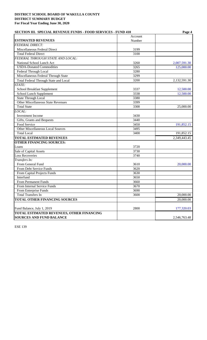| <b>SECTION III. SPECIAL REVENUE FUNDS - FOOD SERVICES - FUND 410</b> | Page 4            |              |  |
|----------------------------------------------------------------------|-------------------|--------------|--|
|                                                                      | Account           |              |  |
| <b>ESTIMATED REVENUES</b>                                            | Number            |              |  |
| <b>FEDERAL DIRECT:</b>                                               |                   |              |  |
| Miscellaneous Federal Direct                                         | 3199              |              |  |
| <b>Total Federal Direct</b>                                          | $\overline{3}100$ |              |  |
| FEDERAL THROUGH STATE AND LOCAL:                                     |                   |              |  |
| National School Lunch Act                                            | 3260              | 2,007,591.30 |  |
| <b>USDA-Donated Commodities</b>                                      | 3265              | 125,000.00   |  |
| Federal Through Local                                                | 3280              |              |  |
| Miscellaneous Federal Through State                                  | 3299              |              |  |
| Total Federal Through State and Local                                | 3200              | 2,132,591.30 |  |
| STATE:                                                               |                   |              |  |
| School Breakfast Supplement                                          | 3337              | 12,500.00    |  |
| School Lunch Supplement                                              | 3338              | 12,500.00    |  |
| <b>State Through Local</b>                                           | 3380              |              |  |
| <b>Other Miscellaneous State Revenues</b>                            | 3399              |              |  |
| <b>Total State</b>                                                   | 3300              | 25,000.00    |  |
| LOCAL:                                                               |                   |              |  |
| <b>Investment Income</b>                                             | 3430              |              |  |
| Gifts, Grants and Bequests                                           | 3440              |              |  |
| Food Service                                                         | 3450              | 191,852.15   |  |
| Other Miscellaneous Local Sources                                    | 3495              |              |  |
| <b>Total Local</b>                                                   | 3400              | 191,852.15   |  |
| <b>TOTAL ESTIMATED REVENUES</b>                                      |                   | 2,349,443.45 |  |
| <b>OTHER FINANCING SOURCES:</b>                                      |                   |              |  |
| Loans                                                                | 3720              |              |  |
| Sale of Capital Assets                                               | 3730              |              |  |
| <b>Loss Recoveries</b>                                               | 3740              |              |  |
| Transfers In:                                                        |                   |              |  |
| From General Fund                                                    | 3610              | 20,000.00    |  |
| From Debt Service Funds                                              | 3620              |              |  |
| From Capital Projects Funds                                          | 3630              |              |  |
| Interfund                                                            | 3650              |              |  |
| From Permanent Funds                                                 | 3660              |              |  |
| From Internal Service Funds                                          | 3670              |              |  |
| From Enterprise Funds                                                | 3690              |              |  |
| <b>Total Transfers In</b>                                            | 3600              | 20,000.00    |  |
| TOTAL OTHER FINANCING SOURCES                                        |                   | 20,000.00    |  |
|                                                                      |                   |              |  |
| Fund Balance, July 1, 2019                                           | 2800              | 177,320.03   |  |
| TOTAL ESTIMATED REVENUES, OTHER FINANCING                            |                   |              |  |
| <b>SOURCES AND FUND BALANCE</b>                                      |                   | 2,546,763.48 |  |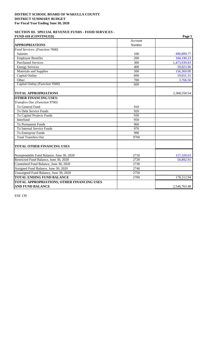### **SECTION III. SPECIAL REVENUE FUNDS - FOOD SERVICES - FUND 410 (CONTINUED) Page 5**

|                                            | Account |              |
|--------------------------------------------|---------|--------------|
| <b>APPROPRIATIONS</b>                      | Number  |              |
| Food Services: (Function 7600)             |         |              |
| <b>Salaries</b>                            | 100     | 490,809.77   |
| <b>Employee Benefits</b>                   | 200     | 184,190.23   |
| <b>Purchased Services</b>                  | 300     | 1,473,939.83 |
| <b>Energy Services</b>                     | 400     | 39,823.90    |
| <b>Materials and Supplies</b>              | 500     | 156,369.00   |
| Capital Outlay                             | 600     | 19,651.31    |
| Other                                      | 700     | 3,766.50     |
| Capital Outlay (Function 9300)             | 600     |              |
| <b>TOTAL APPROPRIATIONS</b>                |         | 2,368,550.54 |
| <b>OTHER FINANCING USES:</b>               |         |              |
| Transfers Out (Function 9700)              |         |              |
| To General Fund                            | 910     |              |
| To Debt Service Funds                      | 920     |              |
| To Capital Projects Funds                  | 930     |              |
| Interfund                                  | 950     |              |
| To Permanent Funds                         | 960     |              |
| To Internal Service Funds                  | 970     |              |
| To Enterprise Funds                        | 990     |              |
| <b>Total Transfers Out</b>                 | 9700    |              |
| <b>TOTAL OTHER FINANCING USES</b>          |         |              |
| Nonspendable Fund Balance, June 30, 2020   | 2710    | 127,320.03   |
| Restricted Fund Balance, June 30, 2020     | 2720    | 50,892.91    |
| Committed Fund Balance, June 30, 2020      | 2730    |              |
| Assigned Fund Balance, June 30, 2020       | 2740    |              |
| Unassigned Fund Balance, June 30, 2020     | 2750    |              |
| <b>TOTAL ENDING FUND BALANCE</b>           | 2700    | 178,212.94   |
| TOTAL APPROPRIATIONS, OTHER FINANCING USES |         |              |
| <b>AND FUND BALANCE</b>                    |         | 2,546,763.48 |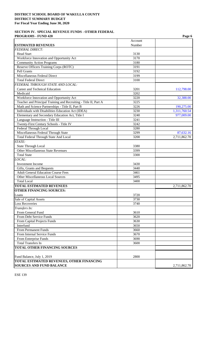#### **SECTION IV. SPECIAL REVENUE FUNDS - OTHER FEDERAL PROGRAMS - FUND 420** Page 6 **Page 6**

|                                                                          |                   | r agu v      |
|--------------------------------------------------------------------------|-------------------|--------------|
| <b>ESTIMATED REVENUES</b>                                                | Account<br>Number |              |
| <b>FEDERAL DIRECT:</b>                                                   |                   |              |
| <b>Head Start</b>                                                        | 3130              |              |
| Workforce Innovation and Opportunity Act                                 | 3170              |              |
| <b>Community Action Programs</b>                                         | 3180              |              |
| Reserve Officers Training Corps (ROTC)                                   | 3191              |              |
| Pell Grants                                                              | 3192              |              |
| Miscellaneous Federal Direct                                             | 3199              |              |
| <b>Total Federal Direct</b>                                              | 3100              |              |
| FEDERAL THROUGH STATE AND LOCAL:                                         |                   |              |
| Career and Technical Education                                           | 3201              | 112,798.00   |
| Medicaid                                                                 | 3202              |              |
| Workforce Innovation and Opportunity Act                                 | 3220              | 32,388.00    |
| Teacher and Principal Training and Recruiting - Title II, Part A         | 3225              |              |
| Math and Science Partnerships - Title II, Part B                         | 3226              | 190,275.00   |
| Individuals with Disabilities Education Act (IDEA)                       | 3230              | 1,311,760.54 |
| Elementary and Secondary Education Act, Title I                          | 3240              | 977,009.00   |
| Language Instruction - Title III                                         | 3241              |              |
| Twenty-First Century Schools - Title IV                                  | 3242              |              |
| Federal Through Local                                                    | 3280              |              |
| Miscellaneous Federal Through State                                      | 3299              | 87,632.16    |
| <b>Total Federal Through State And Local</b>                             | 3200              | 2,711,862.70 |
| STATE:                                                                   |                   |              |
|                                                                          | 3380              |              |
| <b>State Through Local</b><br>Other Miscellaneous State Revenues         | 3399              |              |
| <b>Total State</b>                                                       | 3300              |              |
|                                                                          |                   |              |
| LOCAL:                                                                   |                   |              |
| Investment Income                                                        | 3430              |              |
| Gifts, Grants and Bequests<br><b>Adult General Education Course Fees</b> | 3440              |              |
|                                                                          | 3461              |              |
| Other Miscellaneous Local Sources                                        | 3495              |              |
| <b>Total Local</b>                                                       | 3400              |              |
| <b>TOTAL ESTIMATED REVENUES</b>                                          |                   | 2,711,862.70 |
| <b>OTHER FINANCING SOURCES:</b>                                          |                   |              |
| Loans                                                                    | 3720              |              |
| Sale of Capital Assets                                                   | 3730              |              |
| <b>Loss Recoveries</b>                                                   | 3740              |              |
| Transfers In:                                                            |                   |              |
| From General Fund                                                        | 3610              |              |
| From Debt Service Funds                                                  | 3620              |              |
| From Capital Projects Funds                                              | 3630              |              |
| Interfund                                                                | 3650              |              |
| From Permanent Funds                                                     | 3660              |              |
| From Internal Service Funds                                              | 3670              |              |
| From Enterprise Funds                                                    | 3690              |              |
| <b>Total Transfers In</b>                                                | 3600              |              |
| TOTAL OTHER FINANCING SOURCES                                            |                   |              |
| Fund Balance, July 1, 2019                                               | 2800              |              |
| <b>TOTAL ESTIMATED REVENUES, OTHER FINANCING</b>                         |                   |              |
| <b>SOURCES AND FUND BALANCE</b>                                          |                   | 2,711,862.70 |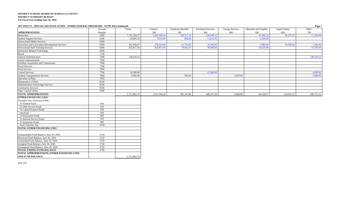#### **SECTION IV. SPECIAL REVENUE FUNDS - OTHER FEDERAL PROGRAMS - FUND 420 (Continued) Page 7**

|                                                        | Account | Totals       | Salaries     | <b>Employee Benefits</b> | <b>Purchased Services</b> | <b>Energy Services</b> | Materials and Supplies | Capital Outlay | Other      |
|--------------------------------------------------------|---------|--------------|--------------|--------------------------|---------------------------|------------------------|------------------------|----------------|------------|
| <b>APPROPRIATIONS</b>                                  | Number  |              | 100          | 200                      | 300                       | 400                    | 500                    | 600            | 700        |
| Instruction                                            | 5000    | 1,732,353.37 | 1,003,348.26 | 239,577.32               | 328,596.21                |                        | 47,446.35              | 96,155.23      | 17,230.00  |
| <b>Student Support Services</b>                        | 6100    | 19,005.35    | 5,034.00     | 858.00                   | 11,613.35                 |                        | 1,500.00               |                |            |
| <b>Instructional Media Services</b>                    | 6200    |              |              |                          |                           |                        |                        |                |            |
| <b>Instruction and Curriculum Development Services</b> | 6300    | 381,950.87   | 278,610.00   | 61,753.93                | 16,500.00                 |                        | 5.086.94               | 18,500.00      | 1.500.00   |
| <b>Instructional Staff Training Services</b>           | 6400    | 423,617.59   | 264,802.00   | 78,092.61                | 38,948.00                 |                        | 10,324.98              |                | 31,450.00  |
| <b>Instruction-Related Technology</b>                  | 6500    |              |              |                          |                           |                        |                        |                |            |
|                                                        | 7100    |              |              |                          |                           |                        |                        |                |            |
| Board<br>General Administration                        | 7200    | 128,535.52   |              |                          |                           |                        |                        |                | 128,535.52 |
| School Administration                                  | 7300    |              |              |                          |                           |                        |                        |                |            |
| Facilities Acquisition and Construction                | 7400    |              |              |                          |                           |                        |                        |                |            |
| <b>Fiscal Services</b>                                 | 7500    |              |              |                          |                           |                        |                        |                |            |
| Food Services                                          | 7600    |              |              |                          |                           |                        |                        |                |            |
| Central Services                                       | 7700    | 16,500.00    |              |                          | 12,500.00                 |                        |                        |                | 4,000.00   |
| <b>Student Transportation Services</b>                 | 7800    | 9,900.00     |              | 900.00                   |                           | 5,000.00               |                        |                | 4,000.00   |
| Operation of Plant                                     | 7900    |              |              |                          |                           |                        |                        |                |            |
| Maintenance of Plant                                   | 8100    |              |              |                          |                           |                        |                        |                |            |
| Administrative Technology Services                     | 8200    |              |              |                          |                           |                        |                        |                |            |
| <b>Community Services</b>                              | 9100    |              |              |                          |                           |                        |                        |                |            |
| Other Capital Outlay                                   | 9300    |              |              |                          |                           |                        |                        |                |            |
| <b>TOTAL APPROPRIATIONS</b>                            |         | 2,711,862.70 | 1,551,794.26 | 381,181.86               | 408,157.56                | 5,000.00               | 64,358.27              | 114,655.23     | 186,715.52 |
| <b>OTHER FINANCING USES:</b>                           |         |              |              |                          |                           |                        |                        |                |            |
| Transfers Out: (Function 9700)                         |         |              |              |                          |                           |                        |                        |                |            |
| To General Fund                                        | 910     |              |              |                          |                           |                        |                        |                |            |
| To Debt Service Funds                                  | 920     |              |              |                          |                           |                        |                        |                |            |
| To Capital Projects Funds                              | 930     |              |              |                          |                           |                        |                        |                |            |
| Interfund                                              | 950     |              |              |                          |                           |                        |                        |                |            |
| To Permanent Funds                                     | 960     |              |              |                          |                           |                        |                        |                |            |
| To Internal Service Funds                              | 970     |              |              |                          |                           |                        |                        |                |            |
| To Enterprise Funds                                    | 990     |              |              |                          |                           |                        |                        |                |            |
| <b>Total Transfers Out</b>                             | 9700    |              |              |                          |                           |                        |                        |                |            |
| TOTAL OTHER FINANCING USES                             |         |              |              |                          |                           |                        |                        |                |            |
|                                                        |         |              |              |                          |                           |                        |                        |                |            |
| Nonspendable Fund Balance, June 30, 2020               | 2710    |              |              |                          |                           |                        |                        |                |            |
| Restricted Fund Balance, June 30, 2020                 | 2720    |              |              |                          |                           |                        |                        |                |            |
| Committed Fund Balance, June 30, 2020                  | 2730    |              |              |                          |                           |                        |                        |                |            |
| Assigned Fund Balance, June 30, 2020                   | 2740    |              |              |                          |                           |                        |                        |                |            |
| Unassigned Fund Balance, June 30, 2020                 | 2750    |              |              |                          |                           |                        |                        |                |            |
| <b>TOTAL ENDING FUND BALANCE</b>                       | 2700    |              |              |                          |                           |                        |                        |                |            |
| TOTAL APPROPRIATIONS, OTHER FINANCING USES             |         |              |              |                          |                           |                        |                        |                |            |
| AND FUND BALANCE                                       |         | 2,711,862.70 |              |                          |                           |                        |                        |                |            |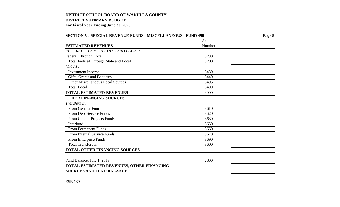| <b>SECTION V. SPECIAL REVENUE FUNDS - MISCELLANEOUS - FUND 490</b> |         | Page 8 |  |  |
|--------------------------------------------------------------------|---------|--------|--|--|
|                                                                    | Account |        |  |  |
| <b>ESTIMATED REVENUES</b>                                          | Number  |        |  |  |
| <b>FEDERAL THROUGH STATE AND LOCAL:</b>                            |         |        |  |  |
| Federal Through Local                                              | 3280    |        |  |  |
| <b>Total Federal Through State and Local</b>                       | 3200    |        |  |  |
| LOCAL:                                                             |         |        |  |  |
| <b>Investment Income</b>                                           | 3430    |        |  |  |
| Gifts, Grants and Bequests                                         | 3440    |        |  |  |
| <b>Other Miscellaneous Local Sources</b>                           | 3495    |        |  |  |
| <b>Total Local</b>                                                 | 3400    |        |  |  |
| <b>TOTAL ESTIMATED REVENUES</b>                                    | 3000    |        |  |  |
| <b>OTHER FINANCING SOURCES</b>                                     |         |        |  |  |
| Transfers In:                                                      |         |        |  |  |
| From General Fund                                                  | 3610    |        |  |  |
| From Debt Service Funds                                            | 3620    |        |  |  |
| From Capital Projects Funds                                        | 3630    |        |  |  |
| Interfund                                                          | 3650    |        |  |  |
| <b>From Permanent Funds</b>                                        | 3660    |        |  |  |
| From Internal Service Funds                                        | 3670    |        |  |  |
| From Enterprise Funds                                              | 3690    |        |  |  |
| <b>Total Transfers In</b>                                          | 3600    |        |  |  |
| <b>TOTAL OTHER FINANCING SOURCES</b>                               |         |        |  |  |
|                                                                    |         |        |  |  |
| Fund Balance, July 1, 2019                                         | 2800    |        |  |  |
| <b>TOTAL ESTIMATED REVENUES, OTHER FINANCING</b>                   |         |        |  |  |
| <b>SOURCES AND FUND BALANCE</b>                                    |         |        |  |  |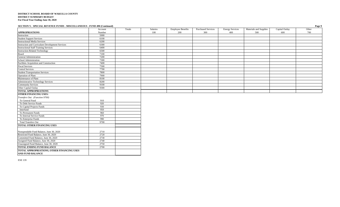#### **SECTION V. SPECIAL REVENUE FUNDS - MISCELLANEOUS - FUND 490 (Continued) Page 9**

|                                                            | Account | Totals | Salaries | <b>Employee Benefits</b> | <b>Purchased Services</b> | <b>Energy Services</b> | Materials and Supplies | Capital Outlay | Other |
|------------------------------------------------------------|---------|--------|----------|--------------------------|---------------------------|------------------------|------------------------|----------------|-------|
| <b>APPROPRIATIONS</b>                                      | Number  |        | 100      | 200                      | 300                       | 400                    | 500                    | 600            | 700   |
| Instruction                                                | 5000    |        |          |                          |                           |                        |                        |                |       |
| <b>Student Support Services</b>                            | 6100    |        |          |                          |                           |                        |                        |                |       |
| <b>Instructional Media Services</b>                        | 6200    |        |          |                          |                           |                        |                        |                |       |
| Instruction and Curriculum Development Services            | 6300    |        |          |                          |                           |                        |                        |                |       |
| <b>Instructional Staff Training Services</b>               | 6400    |        |          |                          |                           |                        |                        |                |       |
|                                                            | 6500    |        |          |                          |                           |                        |                        |                |       |
| Instruction-Related Technology<br>Board                    | 7100    |        |          |                          |                           |                        |                        |                |       |
| General Administration                                     | 7200    |        |          |                          |                           |                        |                        |                |       |
| School Administration                                      | 7300    |        |          |                          |                           |                        |                        |                |       |
| Facilities Acquisition and Construction<br>Fiscal Services | 7400    |        |          |                          |                           |                        |                        |                |       |
|                                                            | 7500    |        |          |                          |                           |                        |                        |                |       |
| Central Services                                           | 7700    |        |          |                          |                           |                        |                        |                |       |
| <b>Student Transportation Services</b>                     | 7800    |        |          |                          |                           |                        |                        |                |       |
| Operation of Plant                                         | 7900    |        |          |                          |                           |                        |                        |                |       |
| Maintenance of Plant                                       | 8100    |        |          |                          |                           |                        |                        |                |       |
| <b>Administrative Technology Services</b>                  | 8200    |        |          |                          |                           |                        |                        |                |       |
|                                                            | 9100    |        |          |                          |                           |                        |                        |                |       |
| <b>Community Services</b><br>Other Capital Outlay          | 9300    |        |          |                          |                           |                        |                        |                |       |
| <b>TOTAL APPROPRIATIONS</b>                                |         |        |          |                          |                           |                        |                        |                |       |
| <b>OTHER FINANCING USES:</b>                               |         |        |          |                          |                           |                        |                        |                |       |
| Transfers Out: (Function 9700)                             |         |        |          |                          |                           |                        |                        |                |       |
| To General Fund                                            | 910     |        |          |                          |                           |                        |                        |                |       |
| To Debt Service Funds                                      | 920     |        |          |                          |                           |                        |                        |                |       |
| To Capital Projects Funds                                  | 930     |        |          |                          |                           |                        |                        |                |       |
| Interfund                                                  | 950     |        |          |                          |                           |                        |                        |                |       |
| To Permanent Funds                                         | 960     |        |          |                          |                           |                        |                        |                |       |
| To Internal Service Funds                                  | 970     |        |          |                          |                           |                        |                        |                |       |
| To Enterprise Funds                                        | 990     |        |          |                          |                           |                        |                        |                |       |
| <b>Total Transfers Out</b>                                 | 9700    |        |          |                          |                           |                        |                        |                |       |
| TOTAL OTHER FINANCING USES                                 |         |        |          |                          |                           |                        |                        |                |       |
|                                                            |         |        |          |                          |                           |                        |                        |                |       |
| Nonspendable Fund Balance, June 30, 2020                   | 2710    |        |          |                          |                           |                        |                        |                |       |
| Restricted Fund Balance, June 30, 2020                     | 2720    |        |          |                          |                           |                        |                        |                |       |
| Committed Fund Balance, June 30, 2020                      | 2730    |        |          |                          |                           |                        |                        |                |       |
| Assigned Fund Balance, June 30, 2020                       | 2740    |        |          |                          |                           |                        |                        |                |       |
| Unassigned Fund Balance, June 30, 2020                     | 2750    |        |          |                          |                           |                        |                        |                |       |
| <b>TOTAL ENDING FUND BALANCE</b>                           | 2700    |        |          |                          |                           |                        |                        |                |       |
| TOTAL APPROPRIATIONS, OTHER FINANCING USES                 |         |        |          |                          |                           |                        |                        |                |       |
| <b>AND FUND BALANCE</b>                                    |         |        |          |                          |                           |                        |                        |                |       |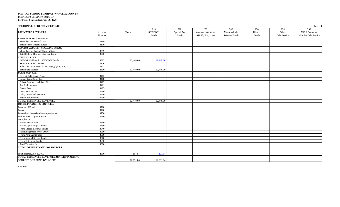| <b>SECTION VI. DEBT SERVICE FUNDS</b>              |                   |           |                                 |                                    |                                                   |                                       |                                 |                              | Page 10                                              |
|----------------------------------------------------|-------------------|-----------|---------------------------------|------------------------------------|---------------------------------------------------|---------------------------------------|---------------------------------|------------------------------|------------------------------------------------------|
| <b>ESTIMATED REVENUES</b>                          | Account<br>Number | Totals    | 210<br>SBE/COBI<br><b>Bonds</b> | 220<br>Special Act<br><b>Bonds</b> | 230<br>Sections 1011.14 &<br>1011.15, F.S., Loans | 240<br>Motor Vehicle<br>Revenue Bonds | 250<br>District<br><b>Bonds</b> | 290<br>Other<br>Debt Service | 299<br><b>ARRA Economic</b><br>Stimulus Debt Service |
| <b>FEDERAL DIRECT SOURCES:</b>                     |                   |           |                                 |                                    |                                                   |                                       |                                 |                              |                                                      |
| Miscellaneous Federal Direct                       | 3199              |           |                                 |                                    |                                                   |                                       |                                 |                              |                                                      |
| <b>Total Federal Direct Sources</b>                | 3100              |           |                                 |                                    |                                                   |                                       |                                 |                              |                                                      |
| FEDERAL THROUGH STATE AND LOCAL:                   |                   |           |                                 |                                    |                                                   |                                       |                                 |                              |                                                      |
| Miscellaneous Federal Through State                | 3299              |           |                                 |                                    |                                                   |                                       |                                 |                              |                                                      |
| Total Federal Through State and Local              | 3200              |           |                                 |                                    |                                                   |                                       |                                 |                              |                                                      |
| <b>STATE SOURCES:</b>                              |                   |           |                                 |                                    |                                                   |                                       |                                 |                              |                                                      |
| CO&DS Withheld for SBE/COBI Bonds                  | 3322              | 12,440.00 | 12,440.00                       |                                    |                                                   |                                       |                                 |                              |                                                      |
| SBE/COBI Bond Interest                             | 3326              |           |                                 |                                    |                                                   |                                       |                                 |                              |                                                      |
| Sales Tax Distribution (s. 212.20(6)(d)6.a., F.S.) | 3341              |           |                                 |                                    |                                                   |                                       |                                 |                              |                                                      |
| <b>Total State Sources</b>                         | 3300              | 12,440.00 | 12,440.00                       |                                    |                                                   |                                       |                                 |                              |                                                      |
| <b>LOCAL SOURCES:</b>                              |                   |           |                                 |                                    |                                                   |                                       |                                 |                              |                                                      |
| <b>District Debt Service Taxes</b>                 | 3412              |           |                                 |                                    |                                                   |                                       |                                 |                              |                                                      |
| <b>County Local Sales Tax</b>                      | 3418              |           |                                 |                                    |                                                   |                                       |                                 |                              |                                                      |
| School District Local Sales Tax                    | 3419              |           |                                 |                                    |                                                   |                                       |                                 |                              |                                                      |
| <b>Tax Redemptions</b>                             | 3421              |           |                                 |                                    |                                                   |                                       |                                 |                              |                                                      |
| <b>Excess Fees</b>                                 | 3423              |           |                                 |                                    |                                                   |                                       |                                 |                              |                                                      |
| <b>Investment Income</b>                           | 3430              |           |                                 |                                    |                                                   |                                       |                                 |                              |                                                      |
| Gifts, Grants and Bequests                         | 3440              |           |                                 |                                    |                                                   |                                       |                                 |                              |                                                      |
| <b>Total Local Sources</b>                         | 3400              |           |                                 |                                    |                                                   |                                       |                                 |                              |                                                      |
| <b>TOTAL ESTIMATED REVENUES</b>                    |                   | 12,440.00 | 12,440.00                       |                                    |                                                   |                                       |                                 |                              |                                                      |
| <b>OTHER FINANCING SOURCES:</b>                    |                   |           |                                 |                                    |                                                   |                                       |                                 |                              |                                                      |
| <b>Issuance of Bonds</b>                           | 3710              |           |                                 |                                    |                                                   |                                       |                                 |                              |                                                      |
| Loans                                              | 3720              |           |                                 |                                    |                                                   |                                       |                                 |                              |                                                      |
| Proceeds of Lease-Purchase Agreements              | 3750              |           |                                 |                                    |                                                   |                                       |                                 |                              |                                                      |
| Premium on Long-term Debt                          | 3790              |           |                                 |                                    |                                                   |                                       |                                 |                              |                                                      |
| Transfers In:                                      |                   |           |                                 |                                    |                                                   |                                       |                                 |                              |                                                      |
| From General Fund                                  | 3610              |           |                                 |                                    |                                                   |                                       |                                 |                              |                                                      |
| From Capital Projects Funds                        | 3630              |           |                                 |                                    |                                                   |                                       |                                 |                              |                                                      |
| From Special Revenue Funds                         | 3640              |           |                                 |                                    |                                                   |                                       |                                 |                              |                                                      |
| Interfund (Debt Service Only)                      | 3650              |           |                                 |                                    |                                                   |                                       |                                 |                              |                                                      |
| From Permanent Funds                               | 3660              |           |                                 |                                    |                                                   |                                       |                                 |                              |                                                      |
| From Internal Service Funds                        | 3670              |           |                                 |                                    |                                                   |                                       |                                 |                              |                                                      |
| From Enterprise Funds                              | 3690              |           |                                 |                                    |                                                   |                                       |                                 |                              |                                                      |
| Total Transfers In                                 | 3600              |           |                                 |                                    |                                                   |                                       |                                 |                              |                                                      |
| TOTAL OTHER FINANCING SOURCES                      |                   |           |                                 |                                    |                                                   |                                       |                                 |                              |                                                      |
|                                                    |                   |           |                                 |                                    |                                                   |                                       |                                 |                              |                                                      |
| Fund Balance, July 1, 2019                         | 2800              | 191.84    | 191.84                          |                                    |                                                   |                                       |                                 |                              |                                                      |
| TOTAL ESTIMATED REVENUES, OTHER FINANCING          |                   |           |                                 |                                    |                                                   |                                       |                                 |                              |                                                      |
| <b>SOURCES AND FUND BALANCES</b>                   |                   | 12,631.84 | 12,631.84                       |                                    |                                                   |                                       |                                 |                              |                                                      |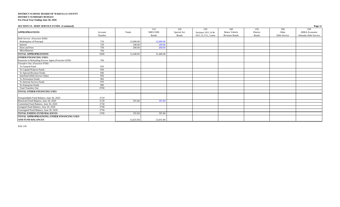|  | <b>SECTION VI. DEBT SERVICE FUNDS (Continued)</b> |  |
|--|---------------------------------------------------|--|
|--|---------------------------------------------------|--|

| <b>SECTION VI. DEBT SERVICE FUNDS (Continued)</b>  |         |           |           |             |                      |               |              |              | Page 11               |
|----------------------------------------------------|---------|-----------|-----------|-------------|----------------------|---------------|--------------|--------------|-----------------------|
|                                                    |         |           | 210       | 220         | 230                  | 240           | 250          | 290          | 299                   |
| <b>APPROPRIATIONS</b>                              | Account | Totals    | SBE/COBI  | Special Act | Sections 1011.14 &   | Motor Vehicle | District     | Other        | <b>ARRA Economic</b>  |
|                                                    | Number  |           | Bonds     | Bonds       | 1011.15, F.S., Loans | Revenue Bonds | <b>Bonds</b> | Debt Service | Stimulus Debt Service |
| Debt Service: (Function 9200)                      |         |           |           |             |                      |               |              |              |                       |
| Redemption of Principal                            | 710     | 12,000.00 | 12,000.00 |             |                      |               |              |              |                       |
| Interest                                           | 720     | 240.00    | 240.00    |             |                      |               |              |              |                       |
| Dues and Fees                                      | 730     | 200.00    | 200.00    |             |                      |               |              |              |                       |
| Miscellaneous                                      | 790     |           |           |             |                      |               |              |              |                       |
| <b>TOTAL APPROPRIATIONS</b>                        | 9200    | 12,440.00 | 12,440.00 |             |                      |               |              |              |                       |
| <b>OTHER FINANCING USES:</b>                       |         |           |           |             |                      |               |              |              |                       |
| Payments to Refunding Escrow Agent (Function 9299) | 760     |           |           |             |                      |               |              |              |                       |
| Transfers Out: (Function 9700)                     |         |           |           |             |                      |               |              |              |                       |
| To General Fund                                    | 910     |           |           |             |                      |               |              |              |                       |
| To Capital Projects Funds                          | 930     |           |           |             |                      |               |              |              |                       |
| To Special Revenue Funds                           | 940     |           |           |             |                      |               |              |              |                       |
| Interfund (Debt Service Only)                      | 950     |           |           |             |                      |               |              |              |                       |
| To Permanent Funds                                 | 960     |           |           |             |                      |               |              |              |                       |
| To Internal Service Funds                          | 970     |           |           |             |                      |               |              |              |                       |
| To Enterprise Funds                                | 990     |           |           |             |                      |               |              |              |                       |
| <b>Total Transfers Out</b>                         | 9700    |           |           |             |                      |               |              |              |                       |
| <b>TOTAL OTHER FINANCING USES</b>                  |         |           |           |             |                      |               |              |              |                       |
|                                                    |         |           |           |             |                      |               |              |              |                       |
| Nonspendable Fund Balance, June 30, 2020           | 2710    |           |           |             |                      |               |              |              |                       |
| Restricted Fund Balance, June 30, 2020             | 2720    | 191.84    | 191.84    |             |                      |               |              |              |                       |
| Committed Fund Balance, June 30, 2020              | 2730    |           |           |             |                      |               |              |              |                       |
| Assigned Fund Balance, June 30, 2020               | 2740    |           |           |             |                      |               |              |              |                       |
| Unassigned Fund Balance, June 30, 2020             | 2750    |           |           |             |                      |               |              |              |                       |
| <b>TOTAL ENDING FUND BALANCES</b>                  | 2700    | 191.84    | 191.84    |             |                      |               |              |              |                       |
| <b>TOTAL APPROPRIATIONS, OTHER FINANCING USES</b>  |         |           |           |             |                      |               |              |              |                       |
| <b>AND FUND BALANCES</b>                           |         | 12,631.84 | 12,631.84 |             |                      |               |              |              |                       |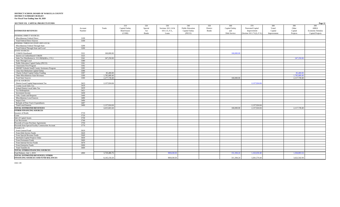| SECTION VII. CAPITAL PROJECTS FUNDS                 |         |              |                    |              |                    |                  |              |                |                           |             |              | Page 12           |
|-----------------------------------------------------|---------|--------------|--------------------|--------------|--------------------|------------------|--------------|----------------|---------------------------|-------------|--------------|-------------------|
|                                                     |         |              | 310                | 320          | 330                | 340              | 350          | 360            | 370                       | 380         | 390          | 399               |
|                                                     | Account | Totals       | Capital Outlay     | Special      | Sections 1011.14 & | Public Education | District     | Capital Outlay | Nonvoted Capital          | Voted       | Other        | <b>ARRA</b>       |
| <b>ESTIMATED REVENUES</b>                           | Number  |              | <b>Bond Issues</b> | Act          | 1011.15, F.S.,     | Capital Outlay   | <b>Bonds</b> | and            | Improvement               | Capital     | Capital      | Economic Stimulus |
|                                                     |         |              | (COBI)             | <b>Bonds</b> | Loans              | (PECO)           |              | Debt Service   | (Section 1011.71(2), F.S. | Improvement | Projects     | Capital Projects  |
| <b>FEDERAL DIRECT SOURCES:</b>                      |         |              |                    |              |                    |                  |              |                |                           |             |              |                   |
| Miscellaneous Federal Direct                        | 3199    |              |                    |              |                    |                  |              |                |                           |             |              |                   |
| <b>Total Federal Direct Sources</b>                 | 3100    |              |                    |              |                    |                  |              |                |                           |             |              |                   |
| FEDERAL THROUGH STATE AND LOCAL:                    |         |              |                    |              |                    |                  |              |                |                           |             |              |                   |
| Miscellaneous Federal Through State                 | 3299    |              |                    |              |                    |                  |              |                |                           |             |              |                   |
| Total Federal Through State and Local               | 3200    |              |                    |              |                    |                  |              |                |                           |             |              |                   |
| <b>STATE SOURCES:</b>                               |         |              |                    |              |                    |                  |              |                |                           |             |              |                   |
| CO&DS Distributed                                   | 3321    | 160,000.00   |                    |              |                    |                  |              | 160,000.00     |                           |             |              |                   |
| Interest on Undistributed CO&DS                     | 3325    |              |                    |              |                    |                  |              |                |                           |             |              |                   |
| Sales Tax Distribution (s. 212.20(6)(d)6.a., F.S.)  | 3341    | 247,250.00   |                    |              |                    |                  |              |                |                           |             | 247,250.00   |                   |
| <b>State Through Local</b>                          | 3380    |              |                    |              |                    |                  |              |                |                           |             |              |                   |
| Public Education Capital Outlay (PECO)              | 3391    |              |                    |              |                    |                  |              |                |                           |             |              |                   |
| <b>Classrooms First Program</b>                     | 3392    |              |                    |              |                    |                  |              |                |                           |             |              |                   |
| SMART Schools Small County Assistance Program       | 3395    |              |                    |              |                    |                  |              |                |                           |             |              |                   |
| Class Size Reduction Capital Outlay                 | 3396    |              |                    |              |                    |                  |              |                |                           |             |              |                   |
| Charter School Capital Outlay Funding               | 3397    | 85,400.00    |                    |              |                    |                  |              |                |                           |             | 85,400.00    |                   |
| Other Miscellaneous State Revenues                  | 3399    | 1,785,089.40 |                    |              |                    |                  |              |                |                           |             | 1,785,089.40 |                   |
| <b>Total State Sources</b>                          | 3300    | 2,277,739.40 |                    |              |                    |                  |              | 160,000.00     |                           |             | 2,117,739.40 |                   |
| OCAL SOURCES:                                       |         |              |                    |              |                    |                  |              |                |                           |             |              |                   |
| District Local Capital Improvement Tax              | 3413    | 2,137,924.04 |                    |              |                    |                  |              |                | 2,137,924.04              |             |              |                   |
| County Local Sales Tax                              | 3418    |              |                    |              |                    |                  |              |                |                           |             |              |                   |
| School District Local Sales Tax                     | 3419    |              |                    |              |                    |                  |              |                |                           |             |              |                   |
| <b>Tax Redemptions</b>                              | 3421    |              |                    |              |                    |                  |              |                |                           |             |              |                   |
| Investment Income                                   | 3430    |              |                    |              |                    |                  |              |                |                           |             |              |                   |
| Gifts, Grants and Bequests                          | 3440    |              |                    |              |                    |                  |              |                |                           |             |              |                   |
| Miscellaneous Local Sources                         | 3490    |              |                    |              |                    |                  |              |                |                           |             |              |                   |
| <b>Impact Fees</b>                                  | 3496    |              |                    |              |                    |                  |              |                |                           |             |              |                   |
| Refunds of Prior Year's Expenditures                | 3497    |              |                    |              |                    |                  |              |                |                           |             |              |                   |
| <b>Total Local Sources</b>                          | 3400    | 2,137,924.04 |                    |              |                    |                  |              |                | 2,137,924.04              |             |              |                   |
| <b>TOTAL ESTIMATED REVENUES</b>                     |         | 4,415,663.44 |                    |              |                    |                  |              | 160,000.00     | 2,137,924.04              |             | 2,117,739.40 |                   |
| <b>OTHER FINANCING SOURCES</b>                      |         |              |                    |              |                    |                  |              |                |                           |             |              |                   |
| <b>Issuance of Bonds</b>                            | 3710    |              |                    |              |                    |                  |              |                |                           |             |              |                   |
| Loans                                               | 3720    |              |                    |              |                    |                  |              |                |                           |             |              |                   |
| Sale of Capital Assets                              | 3730    |              |                    |              |                    |                  |              |                |                           |             |              |                   |
| <b>Loss Recoveries</b>                              | 3740    |              |                    |              |                    |                  |              |                |                           |             |              |                   |
| Proceeds of Lease-Purchase Agreements               | 3750    |              |                    |              |                    |                  |              |                |                           |             |              |                   |
| Proceeds from Special Facility Construction Account | 3770    |              |                    |              |                    |                  |              |                |                           |             |              |                   |
| Transfers In:                                       |         |              |                    |              |                    |                  |              |                |                           |             |              |                   |
| From General Fund                                   | 3610    |              |                    |              |                    |                  |              |                |                           |             |              |                   |
| From Debt Service Funds                             | 3620    |              |                    |              |                    |                  |              |                |                           |             |              |                   |
| From Special Revenue Funds                          | 3640    |              |                    |              |                    |                  |              |                |                           |             |              |                   |
| Interfund (Capital Projects Only)                   | 3650    |              |                    |              |                    |                  |              |                |                           |             |              |                   |
| From Permanent Funds                                | 3660    |              |                    |              |                    |                  |              |                |                           |             |              |                   |
| From Internal Service Funds                         | 3670    |              |                    |              |                    |                  |              |                |                           |             |              |                   |
| From Enterprise Funds                               | 3690    |              |                    |              |                    |                  |              |                |                           |             |              |                   |
| Total Transfers In                                  | 3600    |              |                    |              |                    |                  |              |                |                           |             |              |                   |
| TOTAL OTHER FINANCING SOURCES                       |         |              |                    |              |                    |                  |              |                |                           |             |              |                   |
| Fund Balance, July 1, 2019                          | 2800    | 3,729,486.76 |                    |              | 909,638.5          |                  |              | 151,394.24     | 1,163,650.40              |             | 1,504,803.54 |                   |
| TOTAL ESTIMATED REVENUES, OTHER                     |         |              |                    |              |                    |                  |              |                |                           |             |              |                   |
| FINANCING SOURCES AND FUND BALANCES                 |         | 8,145,150.20 |                    |              | 909,638.58         |                  |              | 311,394.24     | 3,301,574.44              |             | 3,622,542.94 |                   |
|                                                     |         |              |                    |              |                    |                  |              |                |                           |             |              |                   |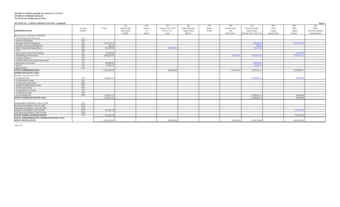| SECTION VII. CAPITAL PROJECTS FUNDS (Continued)                        |                   |              |                                                       |                                       |                                                      |                                                            |                                 |                                              |                                                                     |                                        |                                     | Page 13                                                     |
|------------------------------------------------------------------------|-------------------|--------------|-------------------------------------------------------|---------------------------------------|------------------------------------------------------|------------------------------------------------------------|---------------------------------|----------------------------------------------|---------------------------------------------------------------------|----------------------------------------|-------------------------------------|-------------------------------------------------------------|
| <b>APPROPRIATIONS</b>                                                  | Account<br>Number | Totals       | 310<br>Capital Outlay<br><b>Bond Issues</b><br>(COBI) | 320<br>Special<br>Act<br><b>Bonds</b> | 330<br>Sections 1011.14 &<br>1011.15, F.S.,<br>Loans | 340<br><b>Public Education</b><br>Capital Outlay<br>(PECO) | 350<br>District<br><b>Bonds</b> | 360<br>Capital Outlay<br>and<br>Debt Service | 370<br>Nonvoted Capital<br>Improvement<br>(Section 1011.71(2), F.S. | 380<br>Voted<br>Capital<br>Improvement | 390<br>Other<br>Capital<br>Projects | 399<br>ARRA<br><b>Economic Stimulus</b><br>Capital Projects |
| Appropriations: (Functions 7400/9200)                                  |                   |              |                                                       |                                       |                                                      |                                                            |                                 |                                              |                                                                     |                                        |                                     |                                                             |
| Library Books (New Libraries)                                          | 610               |              |                                                       |                                       |                                                      |                                                            |                                 |                                              |                                                                     |                                        |                                     |                                                             |
| <b>Audiovisual Materials</b>                                           | 620               |              |                                                       |                                       |                                                      |                                                            |                                 |                                              |                                                                     |                                        |                                     |                                                             |
| Buildings and Fixed Equipment                                          | 630               | 2,527,278.15 |                                                       |                                       |                                                      |                                                            |                                 |                                              | 500,000,00                                                          |                                        | 2.027.278.15                        |                                                             |
| Furniture, Fixtures and Equipment                                      | 640               | 464.62       |                                                       |                                       |                                                      |                                                            |                                 |                                              | 464.62                                                              |                                        |                                     |                                                             |
| Motor Vehicles (Including Buses)                                       | 650               | 964,790.58   |                                                       |                                       | 909.638.58                                           |                                                            |                                 |                                              | 55,152.00                                                           |                                        |                                     |                                                             |
| Land                                                                   | 660               |              |                                                       |                                       |                                                      |                                                            |                                 |                                              |                                                                     |                                        |                                     |                                                             |
| Improvements Other Than Buildings                                      | 670               | 81,320.85    |                                                       |                                       |                                                      |                                                            |                                 |                                              |                                                                     |                                        | 81,320.85                           |                                                             |
| Remodeling and Renovations                                             | 680               | 2,860,418.33 |                                                       |                                       |                                                      |                                                            |                                 | 311,394.24                                   | 1.501.822.94                                                        |                                        | 1.047.201.15                        |                                                             |
| Computer Software                                                      | 690               |              |                                                       |                                       |                                                      |                                                            |                                 |                                              |                                                                     |                                        |                                     |                                                             |
| Charter School Local Capital Improvement                               | 793               |              |                                                       |                                       |                                                      |                                                            |                                 |                                              |                                                                     |                                        |                                     |                                                             |
| Redemption of Principal                                                | 710               | 180,000,00   |                                                       |                                       |                                                      |                                                            |                                 |                                              | 180,000.0                                                           |                                        |                                     |                                                             |
| Interest                                                               | 720               | 25,093.75    |                                                       |                                       |                                                      |                                                            |                                 |                                              | 25,093.7                                                            |                                        |                                     |                                                             |
| Dues and Fees                                                          | 730               |              |                                                       |                                       |                                                      |                                                            |                                 |                                              |                                                                     |                                        |                                     |                                                             |
| <b>TOTAL APPROPRIATIONS</b>                                            |                   | 6,639,366.28 |                                                       |                                       | 909,638.58                                           |                                                            |                                 | 311,394.24                                   | 2.262,533.3                                                         |                                        | 3.155.800.15                        |                                                             |
| <b>OTHER FINANCING USES:</b>                                           |                   |              |                                                       |                                       |                                                      |                                                            |                                 |                                              |                                                                     |                                        |                                     |                                                             |
| Transfers Out: (Function 9700)                                         |                   |              |                                                       |                                       |                                                      |                                                            |                                 |                                              |                                                                     |                                        |                                     |                                                             |
| To General Fund                                                        | 910               | 1,133,441.13 |                                                       |                                       |                                                      |                                                            |                                 |                                              | 1,039,041.1                                                         |                                        | 94,400.00                           |                                                             |
| To Debt Service Funds                                                  | 920               |              |                                                       |                                       |                                                      |                                                            |                                 |                                              |                                                                     |                                        |                                     |                                                             |
| To Special Revenue Funds                                               | 940               |              |                                                       |                                       |                                                      |                                                            |                                 |                                              |                                                                     |                                        |                                     |                                                             |
| Interfund (Capital Projects Only)                                      | 950               |              |                                                       |                                       |                                                      |                                                            |                                 |                                              |                                                                     |                                        |                                     |                                                             |
| To Permanent Funds                                                     | 960               |              |                                                       |                                       |                                                      |                                                            |                                 |                                              |                                                                     |                                        |                                     |                                                             |
| To Internal Service Funds                                              | 970               |              |                                                       |                                       |                                                      |                                                            |                                 |                                              |                                                                     |                                        |                                     |                                                             |
| To Enterprise Funds                                                    | 990               |              |                                                       |                                       |                                                      |                                                            |                                 |                                              |                                                                     |                                        |                                     |                                                             |
| <b>Total Transfers Out</b>                                             | 9700              | 1,133,441.13 |                                                       |                                       |                                                      |                                                            |                                 |                                              | 1,039,041.13                                                        |                                        | 94,400.00                           |                                                             |
| <b>TOTAL OTHER FINANCING USES</b>                                      |                   | 1,133,441.13 |                                                       |                                       |                                                      |                                                            |                                 |                                              | 1,039,041.13                                                        |                                        | 94,400.00                           |                                                             |
| Nonspendable Fund Balance, June 30, 2020                               | 2710              |              |                                                       |                                       |                                                      |                                                            |                                 |                                              |                                                                     |                                        |                                     |                                                             |
| Restricted Fund Balance, June 30, 2020                                 | 2720              |              |                                                       |                                       |                                                      |                                                            |                                 |                                              |                                                                     |                                        |                                     |                                                             |
| Committed Fund Balance, June 30, 2020                                  | 2730              |              |                                                       |                                       |                                                      |                                                            |                                 |                                              |                                                                     |                                        |                                     |                                                             |
| Assigned Fund Balance, June 30, 2020                                   | 2740              | 372,342.79   |                                                       |                                       |                                                      |                                                            |                                 |                                              |                                                                     |                                        | 372,342.79                          |                                                             |
| Unassigned Fund Balance, June 30, 2020                                 | 2750              |              |                                                       |                                       |                                                      |                                                            |                                 |                                              |                                                                     |                                        |                                     |                                                             |
| <b>TOTAL ENDING FUND BALANCES</b>                                      | 2700              | 372,342.79   |                                                       |                                       |                                                      |                                                            |                                 |                                              |                                                                     |                                        | 372,342.79                          |                                                             |
| TOTAL APPROPRIATIONS, OTHER FINANCING USES<br><b>AND FUND BALANCES</b> |                   | 8.145.150.20 |                                                       |                                       | 909,638.58                                           |                                                            |                                 | 311,394.24                                   | 3.301.574.44                                                        |                                        | 3.622.542.94                        |                                                             |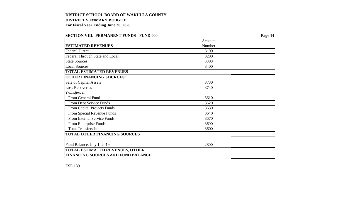| SECTION VIII. I ENMANENI FUNDS - FUND VVV |         | 1 agu 17 |
|-------------------------------------------|---------|----------|
|                                           | Account |          |
| <b>ESTIMATED REVENUES</b>                 | Number  |          |
| <b>Federal Direct</b>                     | 3100    |          |
| Federal Through State and Local           | 3200    |          |
| <b>State Sources</b>                      | 3300    |          |
| <b>Local Sources</b>                      | 3400    |          |
| <b>TOTAL ESTIMATED REVENUES</b>           |         |          |
| <b>OTHER FINANCING SOURCES:</b>           |         |          |
| Sale of Capital Assets                    | 3730    |          |
| <b>Loss Recoveries</b>                    | 3740    |          |
| Transfers In:                             |         |          |
| From General Fund                         | 3610    |          |
| From Debt Service Funds                   | 3620    |          |
| From Capital Projects Funds               | 3630    |          |
| From Special Revenue Funds                | 3640    |          |
| From Internal Service Funds               | 3670    |          |
| From Enterprise Funds                     | 3690    |          |
| <b>Total Transfers In</b>                 | 3600    |          |
| <b>TOTAL OTHER FINANCING SOURCES</b>      |         |          |
|                                           |         |          |
| Fund Balance, July 1, 2019                | 2800    |          |
| <b>TOTAL ESTIMATED REVENUES, OTHER</b>    |         |          |
| <b>FINANCING SOURCES AND FUND BALANCE</b> |         |          |

### **SECTION VIII.** PERMANENT FUNDS - FUND 000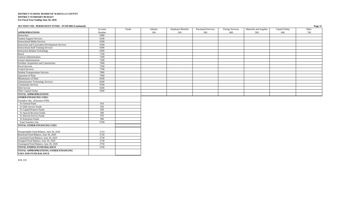#### **SECTION VIII. PERMANENT FUNDS - FUND 000 (Continued) Page 15**

|                                                                                    | Account | Totals | Salaries | <b>Employee Benefits</b> | <b>Purchased Services</b> | <b>Energy Services</b> | Materials and Supplies | Capital Outlay | Other |
|------------------------------------------------------------------------------------|---------|--------|----------|--------------------------|---------------------------|------------------------|------------------------|----------------|-------|
| <b>APPROPRIATIONS</b>                                                              | Number  |        | 100      | 200                      | 300                       | 400                    | 500                    | 600            | 700   |
| Instruction                                                                        | 5000    |        |          |                          |                           |                        |                        |                |       |
| <b>Student Support Services</b>                                                    | 6100    |        |          |                          |                           |                        |                        |                |       |
| <b>Instructional Media Services</b>                                                | 6200    |        |          |                          |                           |                        |                        |                |       |
| Instruction and Curriculum Development Services                                    | 6300    |        |          |                          |                           |                        |                        |                |       |
| <b>Instructional Staff Training Services</b>                                       | 6400    |        |          |                          |                           |                        |                        |                |       |
| <b>Instruction-Related Technology</b>                                              | 6500    |        |          |                          |                           |                        |                        |                |       |
| Board                                                                              | 7100    |        |          |                          |                           |                        |                        |                |       |
| General Administration                                                             | 7200    |        |          |                          |                           |                        |                        |                |       |
| School Administration<br>Facilities Acquisition and Construction                   | 7300    |        |          |                          |                           |                        |                        |                |       |
|                                                                                    | 7400    |        |          |                          |                           |                        |                        |                |       |
| Fiscal Services                                                                    | 7500    |        |          |                          |                           |                        |                        |                |       |
| <b>Central Services</b>                                                            | 7700    |        |          |                          |                           |                        |                        |                |       |
| <b>Student Transportation Services</b>                                             | 7800    |        |          |                          |                           |                        |                        |                |       |
| Operation of Plant<br>Maintenance of Plant                                         | 7900    |        |          |                          |                           |                        |                        |                |       |
|                                                                                    | 8100    |        |          |                          |                           |                        |                        |                |       |
| <b>Administrative Technology Services</b>                                          | 8200    |        |          |                          |                           |                        |                        |                |       |
| <b>Community Services</b>                                                          | 9100    |        |          |                          |                           |                        |                        |                |       |
| Debt Service                                                                       | 9200    |        |          |                          |                           |                        |                        |                |       |
| Other Capital Outlay                                                               | 9300    |        |          |                          |                           |                        |                        |                |       |
| <b>TOTAL APPROPRIATIONS</b>                                                        |         |        |          |                          |                           |                        |                        |                |       |
| <b>OTHER FINANCING USES:</b>                                                       |         |        |          |                          |                           |                        |                        |                |       |
| Transfers Out: (Function 9700)                                                     |         |        |          |                          |                           |                        |                        |                |       |
| To General Fund                                                                    | 910     |        |          |                          |                           |                        |                        |                |       |
| To Debt Service Funds                                                              | 920     |        |          |                          |                           |                        |                        |                |       |
| To Capital Projects Funds                                                          | 930     |        |          |                          |                           |                        |                        |                |       |
| To Special Revenue Funds                                                           | 940     |        |          |                          |                           |                        |                        |                |       |
| To Internal Service Funds                                                          | 970     |        |          |                          |                           |                        |                        |                |       |
| To Enterprise Funds                                                                | 990     |        |          |                          |                           |                        |                        |                |       |
| <b>Total Transfers Out</b>                                                         | 9700    |        |          |                          |                           |                        |                        |                |       |
| TOTAL OTHER FINANCING USES                                                         |         |        |          |                          |                           |                        |                        |                |       |
|                                                                                    |         |        |          |                          |                           |                        |                        |                |       |
| Nonspendable Fund Balance, June 30, 2020<br>Restricted Fund Balance, June 30, 2020 | 2710    |        |          |                          |                           |                        |                        |                |       |
|                                                                                    | 2720    |        |          |                          |                           |                        |                        |                |       |
| Committed Fund Balance, June 30, 2020                                              | 2730    |        |          |                          |                           |                        |                        |                |       |
| Assigned Fund Balance, June 30, 2020                                               | 2740    |        |          |                          |                           |                        |                        |                |       |
| Unassigned Fund Balance, June 30, 2020                                             | 2750    |        |          |                          |                           |                        |                        |                |       |
| <b>TOTAL ENDING FUND BALANCE</b>                                                   | 2700    |        |          |                          |                           |                        |                        |                |       |
| TOTAL APPROPRIATIONS, OTHER FINANCING<br><b>USES AND FUND BALANCE</b>              |         |        |          |                          |                           |                        |                        |                |       |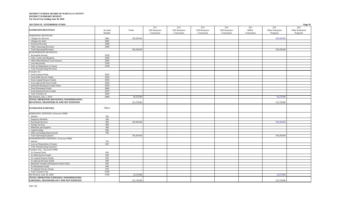| <b>SECTION IX. ENTERPRISE FUNDS</b>             |         |            |                |                |                |                |             |                  | Page 16          |
|-------------------------------------------------|---------|------------|----------------|----------------|----------------|----------------|-------------|------------------|------------------|
|                                                 |         |            | 911            | 912            | 913            | 914            | 915         | 921              | 922              |
| <b>ESTIMATED REVENUES</b>                       | Account | Totals     | Self-Insurance | Self-Insurance | Self-Insurance | Self-Insurance | <b>ARRA</b> | Other Enterprise | Other Enterprise |
|                                                 | Number  |            | Consortium     | Consortium     | Consortium     | Consortium     | Consortium  | Programs         | Programs         |
| <b>OPERATING REVENUES:</b>                      |         |            |                |                |                |                |             |                  |                  |
| Charges for Services                            | 3481    | 105,450.00 |                |                |                |                |             | 105,450.00       |                  |
| Charges for Sales                               | 3482    |            |                |                |                |                |             |                  |                  |
| Premium Revenue                                 | 3484    |            |                |                |                |                |             |                  |                  |
| Other Operating Revenues                        | 3489    |            |                |                |                |                |             |                  |                  |
| <b>Total Operating Revenues</b>                 |         | 105,450.00 |                |                |                |                |             | 105,450.00       |                  |
| <b>NONOPERATING REVENUES:</b>                   |         |            |                |                |                |                |             |                  |                  |
| Investment Income                               | 3430    |            |                |                |                |                |             |                  |                  |
| Gifts, Grants and Bequests                      | 3440    |            |                |                |                |                |             |                  |                  |
| Other Miscellaneous Local Sources               | 3495    |            |                |                |                |                |             |                  |                  |
| <b>Loss Recoveries</b>                          | 3740    |            |                |                |                |                |             |                  |                  |
| Gain on Disposition of Assets                   | 3780    |            |                |                |                |                |             |                  |                  |
| <b>Total Nonoperating Revenues</b>              |         |            |                |                |                |                |             |                  |                  |
| Transfers In:                                   |         |            |                |                |                |                |             |                  |                  |
| From General Fund                               | 3610    |            |                |                |                |                |             |                  |                  |
| From Debt Service Funds                         | 3620    |            |                |                |                |                |             |                  |                  |
| From Capital Projects Funds                     | 3630    |            |                |                |                |                |             |                  |                  |
| From Special Revenue Funds                      | 3640    |            |                |                |                |                |             |                  |                  |
| Interfund (Enterprise Funds Only)               | 3650    |            |                |                |                |                |             |                  |                  |
| From Permanent Funds                            | 3660    |            |                |                |                |                |             |                  |                  |
| From Internal Service Funds                     | 3670    |            |                |                |                |                |             |                  |                  |
| <b>Total Transfers In</b>                       | 3600    |            |                |                |                |                |             |                  |                  |
| Net Position, July 1, 2019                      | 2880    | 16,270.80  |                |                |                |                |             | 16,270.80        |                  |
| TOTAL OPERATING REVENUES, NONOPERATING          |         |            |                |                |                |                |             |                  |                  |
| REVENUES, TRANSFERS IN AND NET POSITION         |         | 121,720.80 |                |                |                |                |             | 121,720.80       |                  |
|                                                 |         |            |                |                |                |                |             |                  |                  |
| <b>ESTIMATED EXPENSES</b>                       | Object  |            |                |                |                |                |             |                  |                  |
|                                                 |         |            |                |                |                |                |             |                  |                  |
| <b>OPERATING EXPENSES:</b> (Function 9900)      |         |            |                |                |                |                |             |                  |                  |
| Salaries                                        | 100     |            |                |                |                |                |             |                  |                  |
| <b>Employee Benefits</b>                        | 200     |            |                |                |                |                |             |                  |                  |
| <b>Purchased Services</b>                       | 300     | 105,450.00 |                |                |                |                |             | 105,450.00       |                  |
| <b>Energy Services</b>                          | 400     |            |                |                |                |                |             |                  |                  |
| Materials and Supplies                          | 500     |            |                |                |                |                |             |                  |                  |
| Capital Outlay                                  | 600     |            |                |                |                |                |             |                  |                  |
| Other (including Depreciation)                  | 700     |            |                |                |                |                |             |                  |                  |
| <b>Total Operating Expenses</b>                 |         | 105,450.00 |                |                |                |                |             | 105,450.00       |                  |
| <b>NONOPERATING EXPENSES:</b> (Function 9900)   |         |            |                |                |                |                |             |                  |                  |
| Interest                                        | 720     |            |                |                |                |                |             |                  |                  |
| Loss on Disposition of Assets                   | 810     |            |                |                |                |                |             |                  |                  |
| <b>Total Nonoperating Expenses</b>              |         |            |                |                |                |                |             |                  |                  |
| Transfers Out: (Function 9700)                  |         |            |                |                |                |                |             |                  |                  |
| To General Fund                                 | 910     |            |                |                |                |                |             |                  |                  |
| To Debt Service Funds                           | 920     |            |                |                |                |                |             |                  |                  |
| To Capital Projects Funds                       | 930     |            |                |                |                |                |             |                  |                  |
| To Special Revenue Funds                        | 940     |            |                |                |                |                |             |                  |                  |
| Interfund Transfers (Enterprise Funds Only)     | 950     |            |                |                |                |                |             |                  |                  |
| To Permanent Funds                              | 960     |            |                |                |                |                |             |                  |                  |
| To Internal Service Funds                       | 970     |            |                |                |                |                |             |                  |                  |
| <b>Total Transfers Out</b>                      | 9700    |            |                |                |                |                |             |                  |                  |
| Net Position, June 30, 2020                     | 2780    | 16,270.80  |                |                |                |                |             | 16,270.80        |                  |
| TOTAL OPERATING EXPENSES, NONOPERATING          |         |            |                |                |                |                |             |                  |                  |
| <b>EXPENSES, TRANSFERS OUT AND NET POSITION</b> |         | 121,720.80 |                |                |                |                |             | 121,720.80       |                  |